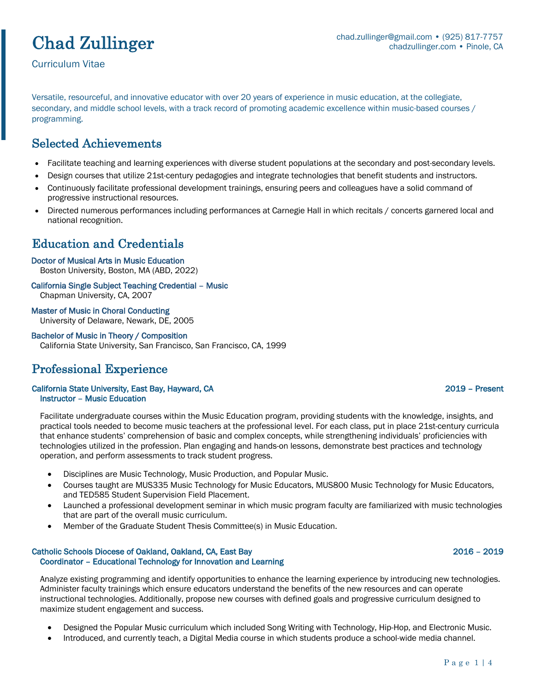# Chad Zullinger

Curriculum Vitae

Versatile, resourceful, and innovative educator with over 20 years of experience in music education, at the collegiate, secondary, and middle school levels, with a track record of promoting academic excellence within music-based courses / programming.

## Selected Achievements

- Facilitate teaching and learning experiences with diverse student populations at the secondary and post-secondary levels.
- Design courses that utilize 21st-century pedagogies and integrate technologies that benefit students and instructors.
- Continuously facilitate professional development trainings, ensuring peers and colleagues have a solid command of progressive instructional resources.
- Directed numerous performances including performances at Carnegie Hall in which recitals / concerts garnered local and national recognition.

## Education and Credentials

### Doctor of Musical Arts in Music Education

Boston University, Boston, MA (ABD, 2022)

#### California Single Subject Teaching Credential – Music Chapman University, CA, 2007

Master of Music in Choral Conducting University of Delaware, Newark, DE, 2005

### Bachelor of Music in Theory / Composition

California State University, San Francisco, San Francisco, CA, 1999

## Professional Experience

### California State University, East Bay, Hayward, CA 2019 – Present Instructor – Music Education

Facilitate undergraduate courses within the Music Education program, providing students with the knowledge, insights, and practical tools needed to become music teachers at the professional level. For each class, put in place 21st-century curricula that enhance students' comprehension of basic and complex concepts, while strengthening individuals' proficiencies with technologies utilized in the profession. Plan engaging and hands-on lessons, demonstrate best practices and technology operation, and perform assessments to track student progress.

- Disciplines are Music Technology, Music Production, and Popular Music.
- Courses taught are MUS335 Music Technology for Music Educators, MUS800 Music Technology for Music Educators, and TED585 Student Supervision Field Placement.
- Launched a professional development seminar in which music program faculty are familiarized with music technologies that are part of the overall music curriculum.
- Member of the Graduate Student Thesis Committee(s) in Music Education.

### Catholic Schools Diocese of Oakland, Oakland, CA, East Bay 2016 – 2019 Coordinator – Educational Technology for Innovation and Learning

Analyze existing programming and identify opportunities to enhance the learning experience by introducing new technologies. Administer faculty trainings which ensure educators understand the benefits of the new resources and can operate instructional technologies. Additionally, propose new courses with defined goals and progressive curriculum designed to maximize student engagement and success.

- Designed the Popular Music curriculum which included Song Writing with Technology, Hip-Hop, and Electronic Music.
- Introduced, and currently teach, a Digital Media course in which students produce a school-wide media channel.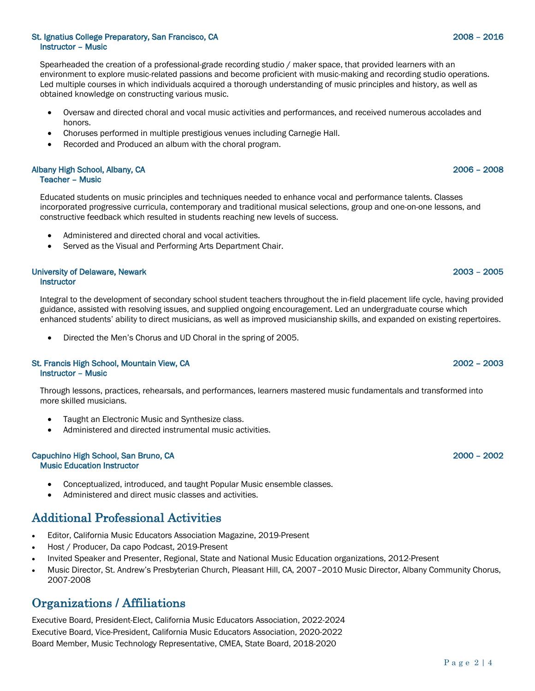### St. Ignatius College Preparatory, San Francisco, CA 2008 – 2016 Instructor – Music

Spearheaded the creation of a professional-grade recording studio / maker space, that provided learners with an environment to explore music-related passions and become proficient with music-making and recording studio operations. Led multiple courses in which individuals acquired a thorough understanding of music principles and history, as well as obtained knowledge on constructing various music.

- Oversaw and directed choral and vocal music activities and performances, and received numerous accolades and honors.
- Choruses performed in multiple prestigious venues including Carnegie Hall.
- Recorded and Produced an album with the choral program.

#### Albany High School, Albany, CA 2006 – 2008 Teacher – Music

Educated students on music principles and techniques needed to enhance vocal and performance talents. Classes incorporated progressive curricula, contemporary and traditional musical selections, group and one-on-one lessons, and constructive feedback which resulted in students reaching new levels of success.

- Administered and directed choral and vocal activities.
- Served as the Visual and Performing Arts Department Chair.

### University of Delaware, Newark 2003 – 2005 **Instructor**

Integral to the development of secondary school student teachers throughout the in-field placement life cycle, having provided guidance, assisted with resolving issues, and supplied ongoing encouragement. Led an undergraduate course which enhanced students' ability to direct musicians, as well as improved musicianship skills, and expanded on existing repertoires.

• Directed the Men's Chorus and UD Choral in the spring of 2005.

### St. Francis High School, Mountain View, CA 2002 – 2003 Instructor – Music

Through lessons, practices, rehearsals, and performances, learners mastered music fundamentals and transformed into more skilled musicians.

- Taught an Electronic Music and Synthesize class.
- Administered and directed instrumental music activities.

#### Capuchino High School, San Bruno, CA 2000 – 2002 Music Education Instructor

- Conceptualized, introduced, and taught Popular Music ensemble classes.
- Administered and direct music classes and activities.

## Additional Professional Activities

- Editor, California Music Educators Association Magazine, 2019-Present
- Host / Producer, Da capo Podcast, 2019-Present
- Invited Speaker and Presenter, Regional, State and National Music Education organizations, 2012-Present
- Music Director, St. Andrew's Presbyterian Church, Pleasant Hill, CA, 2007–2010 Music Director, Albany Community Chorus, 2007-2008

## Organizations / Affiliations

Executive Board, President-Elect, California Music Educators Association, 2022-2024 Executive Board, Vice-President, California Music Educators Association, 2020-2022 Board Member, Music Technology Representative, CMEA, State Board, 2018-2020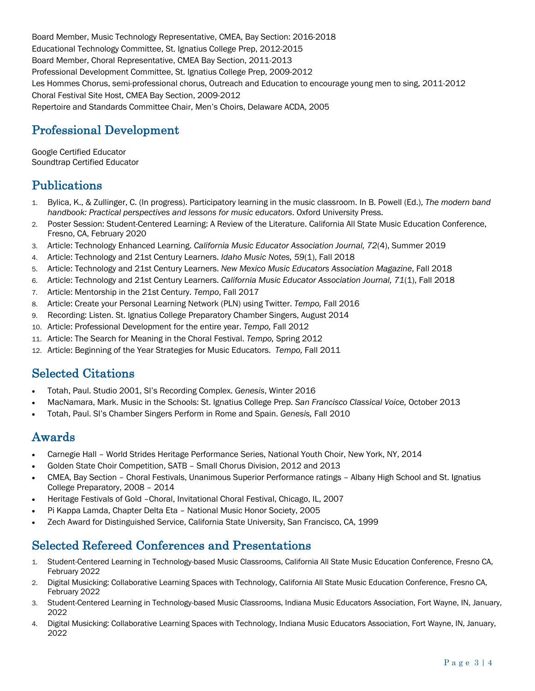Board Member, Music Technology Representative, CMEA, Bay Section: 2016-2018 Educational Technology Committee, St. Ignatius College Prep, 2012-2015 Board Member, Choral Representative, CMEA Bay Section, 2011-2013 Professional Development Committee, St. Ignatius College Prep, 2009-2012 Les Hommes Chorus, semi-professional chorus, Outreach and Education to encourage young men to sing, 2011-2012 Choral Festival Site Host, CMEA Bay Section, 2009-2012 Repertoire and Standards Committee Chair, Men's Choirs, Delaware ACDA, 2005

## Professional Development

Google Certified Educator Soundtrap Certified Educator

## Publications

- 1. Bylica, K., & Zullinger, C. (In progress). Participatory learning in the music classroom. In B. Powell (Ed.), *The modern band handbook: Practical perspectives and lessons for music educators*. Oxford University Press.
- 2. Poster Session: Student-Centered Learning: A Review of the Literature. California All State Music Education Conference, Fresno, CA, February 2020
- 3. Article: Technology Enhanced Learning. *California Music Educator Association Journal, 72*(4), Summer 2019
- 4. Article: Technology and 21st Century Learners. *Idaho Music Notes, 59*(1), Fall 2018
- 5. Article: Technology and 21st Century Learners. *New Mexico Music Educators Association Magazine*, Fall 2018
- 6. Article: Technology and 21st Century Learners. *California Music Educator Association Journal, 71*(1), Fall 2018
- 7. Article: Mentorship in the 21st Century. *Tempo*, Fall 2017
- 8. Article: Create your Personal Learning Network (PLN) using Twitter. *Tempo,* Fall 2016
- 9. Recording: Listen. St. Ignatius College Preparatory Chamber Singers, August 2014
- 10. Article: Professional Development for the entire year. *Tempo,* Fall 2012
- 11. Article: The Search for Meaning in the Choral Festival. *Tempo,* Spring 2012
- 12. Article: Beginning of the Year Strategies for Music Educators. *Tempo,* Fall 2011

## Selected Citations

- Totah, Paul. Studio 2001, SI's Recording Complex. *Genesis*, Winter 2016
- MacNamara, Mark. Music in the Schools: St. Ignatius College Prep. *San Francisco Classical Voice,* October 2013
- Totah, Paul. SI's Chamber Singers Perform in Rome and Spain. *Genesis,* Fall 2010

## Awards

- Carnegie Hall World Strides Heritage Performance Series, National Youth Choir, New York, NY, 2014
- Golden State Choir Competition, SATB Small Chorus Division, 2012 and 2013
- CMEA, Bay Section Choral Festivals, Unanimous Superior Performance ratings Albany High School and St. Ignatius College Preparatory, 2008 – 2014
- Heritage Festivals of Gold –Choral, Invitational Choral Festival, Chicago, IL, 2007
- Pi Kappa Lamda, Chapter Delta Eta National Music Honor Society, 2005
- Zech Award for Distinguished Service, California State University, San Francisco, CA, 1999

## Selected Refereed Conferences and Presentations

- 1. Student-Centered Learning in Technology-based Music Classrooms, California All State Music Education Conference, Fresno CA, February 2022
- 2. Digital Musicking: Collaborative Learning Spaces with Technology, California All State Music Education Conference, Fresno CA, February 2022
- 3. Student-Centered Learning in Technology-based Music Classrooms, Indiana Music Educators Association, Fort Wayne, IN, January, 2022
- 4. Digital Musicking: Collaborative Learning Spaces with Technology, Indiana Music Educators Association, Fort Wayne, IN, January, 2022